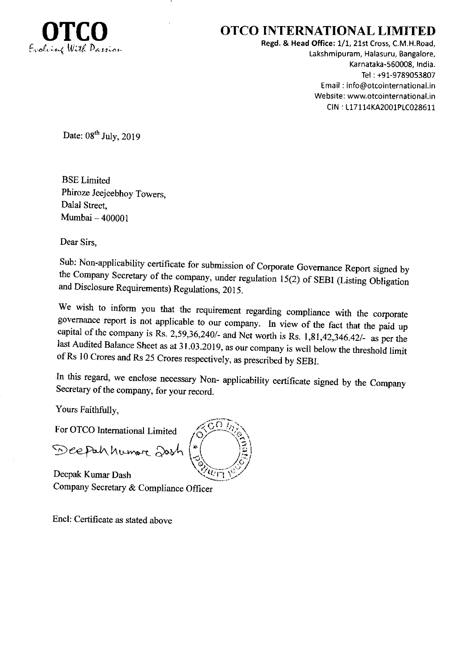

## OTCO INTERNATIONAL LIMITED

Regd. & Head Office: 1/1, 2lst Cross, C.M.H.Road, Lakshmipuram, Halasuru, Bangalore, Karnataka-560008, India. Tel : +91-9789053807 Email : info@otcointernational.in Website: www.otcointernational.in CIN : 117114KA2001P1C028611

Date:  $08^{th}$  July, 2019

BSE Limited Phiroze Jeejeebhoy Towers, Dalal Street, Mumbai - <sup>400001</sup>

Dear Sirs,

Sub: Non-applicability certificate for submission of Corporate Governance Report signed by the Company Secretary of the company, under regulation 15(2) of SEBI (Listing Obligation and Disclosure Requirements) Regulations,

We wish to inform you that the requirement regarding compliance with the corporate governance report is not applicable to our company. In view of the fact that the paid up capital of the company is Rs. 2,59,36,240/- and Net worth is Rs. 1,81,42,346.42/- as per the last Audited Balance Sheet as at 31.03.2019, as our company is well below the threshold limit of Rs 10 Crores and Rs 25 Crores re

In this regard, we enclose necessary Non- applicability certificate signed by the company Secretary of the company, for your record.

Yous Faithfully,

For OTCO Intemational Limited

Deepah humore Josh

Deepak Kumar Dash Company Secretary & Compliance Officer

Encl: Certificate as stated above